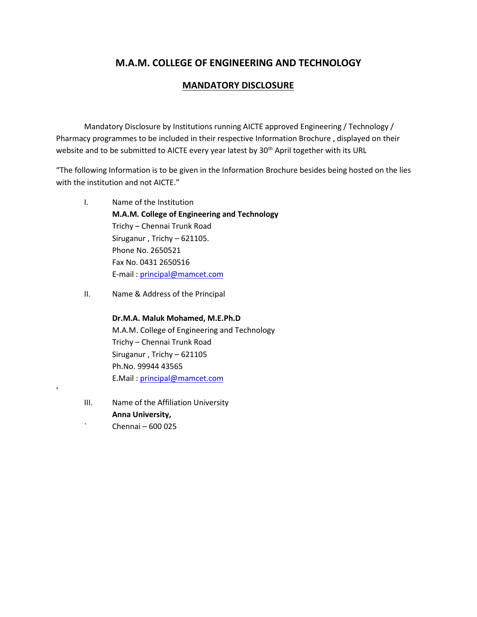# **M.A.M. COLLEGE OF ENGINEERING AND TECHNOLOGY**

# **MANDATORY DISCLOSURE**

Mandatory Disclosure by Institutions running AICTE approved Engineering / Technology / Pharmacy programmes to be included in their respective Information Brochure , displayed on their website and to be submitted to AICTE every year latest by 30<sup>th</sup> April together with its URL

"The following Information is to be given in the Information Brochure besides being hosted on the lies with the institution and not AICTE."

- I. Name of the Institution **M.A.M. College of Engineering and Technology** Trichy – Chennai Trunk Road Siruganur , Trichy – 621105. Phone No. 2650521 Fax No. 0431 2650516 E-mail : [principal@mamcet.com](mailto:principal@mamcet.com)
- II. Name & Address of the Principal

**Dr.M.A. Maluk Mohamed, M.E.Ph.D** M.A.M. College of Engineering and Technology Trichy – Chennai Trunk Road Siruganur , Trichy – 621105 Ph.No. 99944 43565 E.Mail : [principal@mamcet.com](mailto:principal@mamcet.com)

III. Name of the Affiliation University **Anna University,** ` Chennai – 600 025

'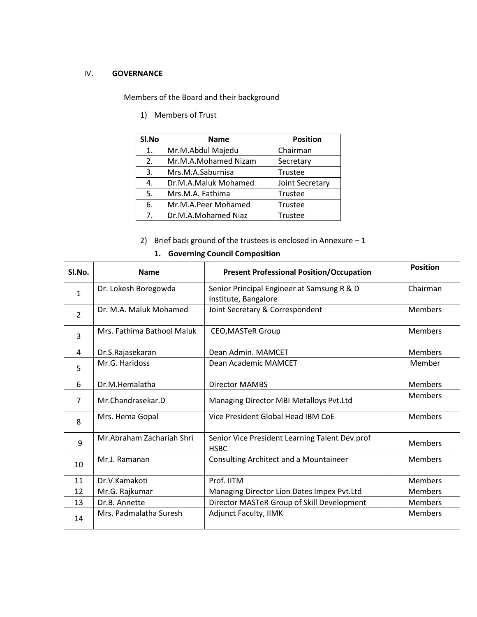### IV. **GOVERNANCE**

Members of the Board and their background

1) Members of Trust

| SI.No | <b>Name</b>          | <b>Position</b> |
|-------|----------------------|-----------------|
| 1.    | Mr.M.Abdul Majedu    | Chairman        |
| 2.    | Mr.M.A.Mohamed Nizam | Secretary       |
| 3.    | Mrs.M.A.Saburnisa    | Trustee         |
| 4.    | Dr.M.A.Maluk Mohamed | Joint Secretary |
| 5.    | Mrs.M.A. Fathima     | Trustee         |
| 6.    | Mr.M.A.Peer Mohamed  | Trustee         |
| 7.    | Dr.M.A.Mohamed Niaz  | Trustee         |

2) Brief back ground of the trustees is enclosed in Annexure  $-1$ 

| 1. Governing Council Composition |                            |                                                                    |                 |  |
|----------------------------------|----------------------------|--------------------------------------------------------------------|-----------------|--|
| SI.No.                           | <b>Name</b>                | <b>Present Professional Position/Occupation</b>                    | <b>Position</b> |  |
| $\mathbf{1}$                     | Dr. Lokesh Boregowda       | Senior Principal Engineer at Samsung R & D<br>Institute, Bangalore | Chairman        |  |
| $\overline{2}$                   | Dr. M.A. Maluk Mohamed     | Joint Secretary & Correspondent                                    | <b>Members</b>  |  |
| 3                                | Mrs. Fathima Bathool Maluk | <b>CEO, MASTeR Group</b>                                           | <b>Members</b>  |  |
| 4                                | Dr.S.Rajasekaran           | Dean Admin. MAMCET                                                 | <b>Members</b>  |  |
| 5                                | Mr.G. Haridoss             | Dean Academic MAMCET                                               | Member          |  |
| 6                                | Dr.M.Hemalatha             | Director MAMBS                                                     | <b>Members</b>  |  |
| $\overline{7}$                   | Mr.Chandrasekar.D          | Managing Director MBI Metalloys Pvt.Ltd                            | <b>Members</b>  |  |
| 8                                | Mrs. Hema Gopal            | Vice President Global Head IBM CoE                                 | <b>Members</b>  |  |
| 9                                | Mr.Abraham Zachariah Shri  | Senior Vice President Learning Talent Dev.prof<br><b>HSBC</b>      | <b>Members</b>  |  |
| 10                               | Mr.J. Ramanan              | Consulting Architect and a Mountaineer                             | <b>Members</b>  |  |
| 11                               | Dr.V.Kamakoti              | Prof. IITM                                                         | <b>Members</b>  |  |
| 12                               | Mr.G. Rajkumar             | Managing Director Lion Dates Impex Pvt.Ltd                         | <b>Members</b>  |  |
| 13                               | Dr.B. Annette              | Director MASTeR Group of Skill Development                         | <b>Members</b>  |  |
| 14                               | Mrs. Padmalatha Suresh     | <b>Adjunct Faculty, IIMK</b>                                       | <b>Members</b>  |  |

# **1. Governing Council Composition**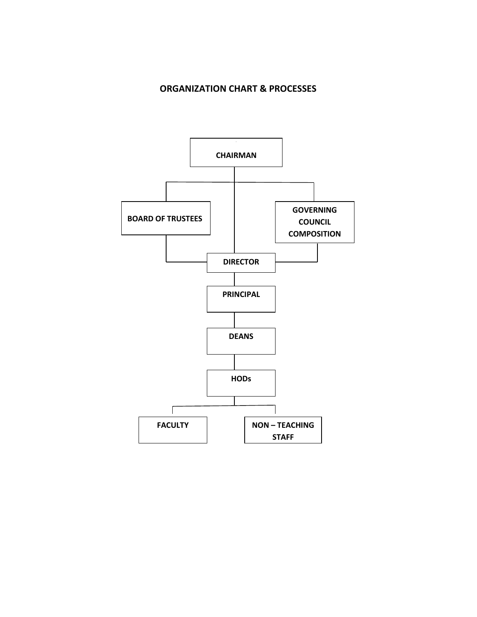# **ORGANIZATION CHART & PROCESSES**

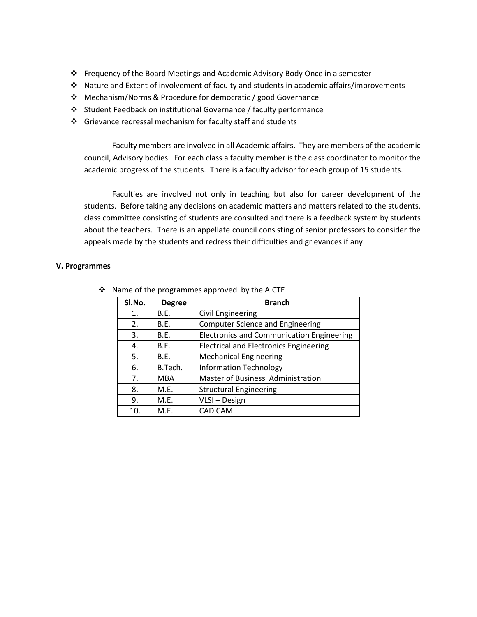- ❖ Frequency of the Board Meetings and Academic Advisory Body Once in a semester
- ❖ Nature and Extent of involvement of faculty and students in academic affairs/improvements
- ❖ Mechanism/Norms & Procedure for democratic / good Governance
- ❖ Student Feedback on institutional Governance / faculty performance
- ❖ Grievance redressal mechanism for faculty staff and students

Faculty members are involved in all Academic affairs. They are members of the academic council, Advisory bodies. For each class a faculty member is the class coordinator to monitor the academic progress of the students. There is a faculty advisor for each group of 15 students.

Faculties are involved not only in teaching but also for career development of the students. Before taking any decisions on academic matters and matters related to the students, class committee consisting of students are consulted and there is a feedback system by students about the teachers. There is an appellate council consisting of senior professors to consider the appeals made by the students and redress their difficulties and grievances if any.

### **V. Programmes**

| SI.No. | <b>Degree</b> | <b>Branch</b>                                    |
|--------|---------------|--------------------------------------------------|
| 1.     | B.E.          | Civil Engineering                                |
| 2.     | B.E.          | <b>Computer Science and Engineering</b>          |
| 3.     | B.E.          | <b>Electronics and Communication Engineering</b> |
| 4.     | B.E.          | <b>Electrical and Electronics Engineering</b>    |
| 5.     | B.E.          | <b>Mechanical Engineering</b>                    |
| 6.     | B.Tech.       | <b>Information Technology</b>                    |
| 7.     | MBA           | Master of Business Administration                |
| 8.     | M.E.          | <b>Structural Engineering</b>                    |
| 9.     | M.E.          | VLSI - Design                                    |
| 10.    | M.E.          | CAD CAM                                          |

❖ Name of the programmes approved by the AICTE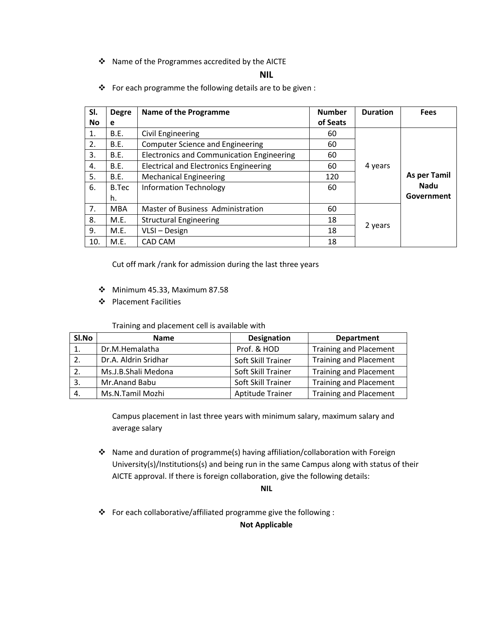❖ Name of the Programmes accredited by the AICTE

#### **NIL**

- **Sl. No Degre e** Name of the Programme **Number Number Number of Seats Duration Fees** 1. | B.E. | Civil Engineering | 60 4 years **As per Tamil Nadu Government** 2. | B.E. | Computer Science and Engineering | 60 3.  $\vert$  B.E. Electronics and Communication Engineering  $\vert$  60 4. | B.E. | Electrical and Electronics Engineering | 60 5. B.E. Mechanical Engineering 120 6.  $\vert$  B.Tec h. Information Technology 1999 1999 7. | MBA | Master of Business Administration | 60 8. M.E. Structural Engineering<br>
9. M.E. VLSI – Design 18 18 2 years VLSI – Design 10. | M.E. | CAD CAM 18
- ❖ For each programme the following details are to be given :

Cut off mark /rank for admission during the last three years

- ❖ Minimum 45.33, Maximum 87.58
- ❖ Placement Facilities

Training and placement cell is available with

| Sl.No | <b>Name</b>          | <b>Designation</b> | <b>Department</b>             |
|-------|----------------------|--------------------|-------------------------------|
| 1.    | Dr.M.Hemalatha       | Prof. & HOD        | <b>Training and Placement</b> |
| 2.    | Dr.A. Aldrin Sridhar | Soft Skill Trainer | <b>Training and Placement</b> |
| 2.    | Ms.J.B.Shali Medona  | Soft Skill Trainer | <b>Training and Placement</b> |
| 3.    | Mr.Anand Babu        | Soft Skill Trainer | <b>Training and Placement</b> |
| 4.    | Ms.N.Tamil Mozhi     | Aptitude Trainer   | <b>Training and Placement</b> |

Campus placement in last three years with minimum salary, maximum salary and average salary

❖ Name and duration of programme(s) having affiliation/collaboration with Foreign University(s)/Institutions(s) and being run in the same Campus along with status of their AICTE approval. If there is foreign collaboration, give the following details:

**NIL**

❖ For each collaborative/affiliated programme give the following :

**Not Applicable**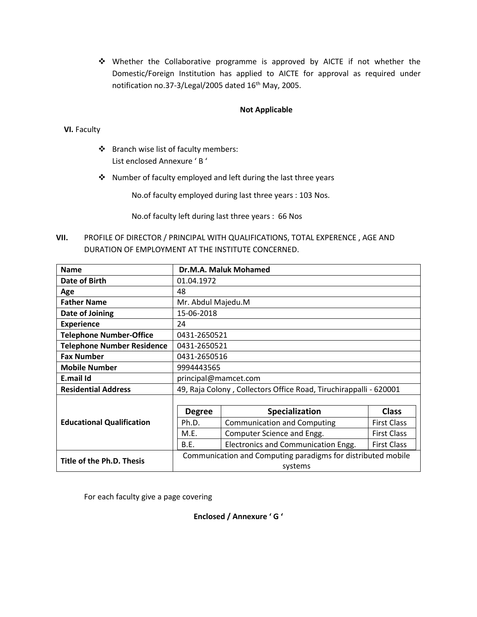❖ Whether the Collaborative programme is approved by AICTE if not whether the Domestic/Foreign Institution has applied to AICTE for approval as required under notification no.37-3/Legal/2005 dated 16<sup>th</sup> May, 2005.

## **Not Applicable**

## **VI.** Faculty

- ❖ Branch wise list of faculty members: List enclosed Annexure ' B '
- ❖ Number of faculty employed and left during the last three years

No.of faculty employed during last three years : 103 Nos.

No.of faculty left during last three years : 66 Nos

**VII.** PROFILE OF DIRECTOR / PRINCIPAL WITH QUALIFICATIONS, TOTAL EXPERENCE , AGE AND DURATION OF EMPLOYMENT AT THE INSTITUTE CONCERNED.

| <b>Name</b>                       | Dr.M.A. Maluk Mohamed                                             |                                    |                    |  |  |
|-----------------------------------|-------------------------------------------------------------------|------------------------------------|--------------------|--|--|
| Date of Birth                     | 01.04.1972                                                        |                                    |                    |  |  |
| Age                               | 48                                                                |                                    |                    |  |  |
| <b>Father Name</b>                |                                                                   | Mr. Abdul Majedu.M                 |                    |  |  |
| Date of Joining                   | 15-06-2018                                                        |                                    |                    |  |  |
| <b>Experience</b>                 | 24                                                                |                                    |                    |  |  |
| <b>Telephone Number-Office</b>    | 0431-2650521                                                      |                                    |                    |  |  |
| <b>Telephone Number Residence</b> | 0431-2650521                                                      |                                    |                    |  |  |
| <b>Fax Number</b>                 | 0431-2650516                                                      |                                    |                    |  |  |
| <b>Mobile Number</b>              | 9994443565                                                        |                                    |                    |  |  |
| E.mail Id                         | principal@mamcet.com                                              |                                    |                    |  |  |
| <b>Residential Address</b>        | 49, Raja Colony, Collectors Office Road, Tiruchirappalli - 620001 |                                    |                    |  |  |
|                                   |                                                                   |                                    |                    |  |  |
|                                   | <b>Degree</b>                                                     | Specialization                     | <b>Class</b>       |  |  |
| <b>Educational Qualification</b>  | Ph.D.                                                             | <b>Communication and Computing</b> | <b>First Class</b> |  |  |
|                                   | M.E.                                                              | Computer Science and Engg.         | <b>First Class</b> |  |  |
|                                   | Electronics and Communication Engg.<br>B.E.<br><b>First Class</b> |                                    |                    |  |  |
| Title of the Ph.D. Thesis         | Communication and Computing paradigms for distributed mobile      |                                    |                    |  |  |
|                                   | systems                                                           |                                    |                    |  |  |

For each faculty give a page covering

**Enclosed / Annexure ' G '**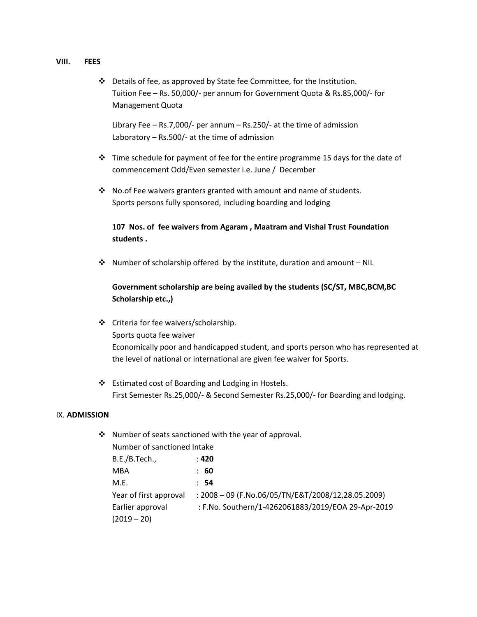#### **VIII. FEES**

❖ Details of fee, as approved by State fee Committee, for the Institution. Tuition Fee – Rs. 50,000/- per annum for Government Quota & Rs.85,000/- for Management Quota

Library Fee – Rs.7,000/- per annum – Rs.250/- at the time of admission Laboratory – Rs.500/- at the time of admission

- ❖ Time schedule for payment of fee for the entire programme 15 days for the date of commencement Odd/Even semester i.e. June / December
- ❖ No.of Fee waivers granters granted with amount and name of students. Sports persons fully sponsored, including boarding and lodging

## **107 Nos. of fee waivers from Agaram , Maatram and Vishal Trust Foundation students .**

 $\cdot \cdot$  Number of scholarship offered by the institute, duration and amount – NIL

## **Government scholarship are being availed by the students (SC/ST, MBC,BCM,BC Scholarship etc.,)**

- ❖ Criteria for fee waivers/scholarship. Sports quota fee waiver Economically poor and handicapped student, and sports person who has represented at the level of national or international are given fee waiver for Sports.
- ❖ Estimated cost of Boarding and Lodging in Hostels. First Semester Rs.25,000/- & Second Semester Rs.25,000/- for Boarding and lodging.

#### IX. **ADMISSION**

| Number of sanctioned Intake |                                                      |  |  |
|-----------------------------|------------------------------------------------------|--|--|
| B.E./B.Tech.,               | : 420                                                |  |  |
| <b>MBA</b>                  | : 60                                                 |  |  |
| M.E.                        | : 54                                                 |  |  |
| Year of first approval      | : $2008 - 09$ (F.No.06/05/TN/E&T/2008/12,28.05.2009) |  |  |
| Earlier approval            | : F.No. Southern/1-4262061883/2019/EOA 29-Apr-2019   |  |  |
| $(2019 - 20)$               |                                                      |  |  |
|                             |                                                      |  |  |

❖ Number of seats sanctioned with the year of approval.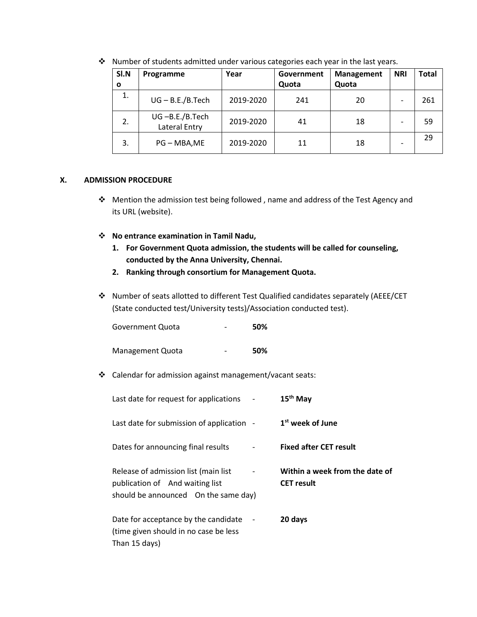| SI.N | Programme                           | Year      | Government | <b>Management</b> | <b>NRI</b> | <b>Total</b> |
|------|-------------------------------------|-----------|------------|-------------------|------------|--------------|
| O    |                                     |           | Quota      | Quota             |            |              |
| 1.   | $UG - B.E./B.Tech$                  | 2019-2020 | 241        | 20                |            | 261          |
| 2.   | $UG - B.E./B.Tech$<br>Lateral Entry | 2019-2020 | 41         | 18                |            | 59           |
| 3.   | PG - MBA, ME                        | 2019-2020 | 11         | 18                |            | 29           |

❖ Number of students admitted under various categories each year in the last years.

### **X. ADMISSION PROCEDURE**

- ❖ Mention the admission test being followed , name and address of the Test Agency and its URL (website).
- ❖ **No entrance examination in Tamil Nadu,**
	- **1. For Government Quota admission, the students will be called for counseling, conducted by the Anna University, Chennai.**
	- **2. Ranking through consortium for Management Quota.**
- ❖ Number of seats allotted to different Test Qualified candidates separately (AEEE/CET (State conducted test/University tests)/Association conducted test).

| Government Quota | 50% |
|------------------|-----|
|                  |     |

Management Quota - **50%**

❖ Calendar for admission against management/vacant seats:

| Last date for request for applications                                                                           | 15 <sup>th</sup> May                                |
|------------------------------------------------------------------------------------------------------------------|-----------------------------------------------------|
| Last date for submission of application -                                                                        | 1 <sup>st</sup> week of June                        |
| Dates for announcing final results                                                                               | <b>Fixed after CET result</b>                       |
| Release of admission list (main list)<br>publication of And waiting list<br>should be announced On the same day) | Within a week from the date of<br><b>CET</b> result |
| Date for acceptance by the candidate<br>(time given should in no case be less)<br>Than 15 days)                  | 20 days                                             |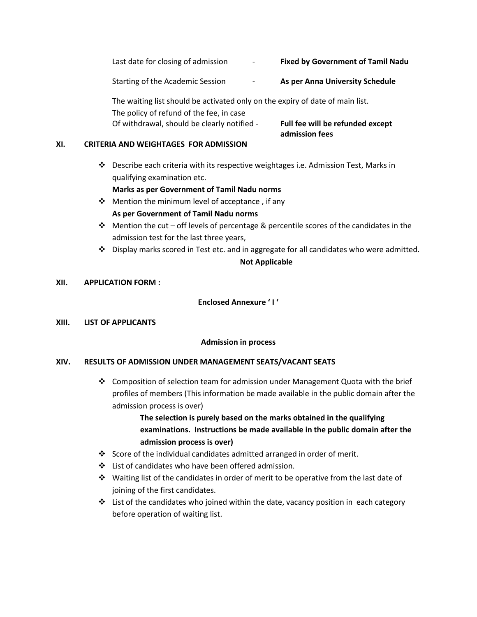Last date for closing of admission - **Fixed by Government of Tamil Nadu**

Starting of the Academic Session - **As per Anna University Schedule**

The waiting list should be activated only on the expiry of date of main list. The policy of refund of the fee, in case Of withdrawal, should be clearly notified - **Full fee will be refunded except**

**admission fees**

## **XI. CRITERIA AND WEIGHTAGES FOR ADMISSION**

❖ Describe each criteria with its respective weightages i.e. Admission Test, Marks in qualifying examination etc.

## **Marks as per Government of Tamil Nadu norms**

- ❖ Mention the minimum level of acceptance , if any **As per Government of Tamil Nadu norms**
- ❖ Mention the cut off levels of percentage & percentile scores of the candidates in the admission test for the last three years,
- ❖ Display marks scored in Test etc. and in aggregate for all candidates who were admitted. **Not Applicable**

## **XII. APPLICATION FORM :**

## **Enclosed Annexure ' I '**

### **XIII. LIST OF APPLICANTS**

### **Admission in process**

## **XIV. RESULTS OF ADMISSION UNDER MANAGEMENT SEATS/VACANT SEATS**

❖ Composition of selection team for admission under Management Quota with the brief profiles of members (This information be made available in the public domain after the admission process is over)

> **The selection is purely based on the marks obtained in the qualifying examinations. Instructions be made available in the public domain after the admission process is over)**

- ❖ Score of the individual candidates admitted arranged in order of merit.
- ❖ List of candidates who have been offered admission.
- ❖ Waiting list of the candidates in order of merit to be operative from the last date of joining of the first candidates.
- $\div$  List of the candidates who joined within the date, vacancy position in each category before operation of waiting list.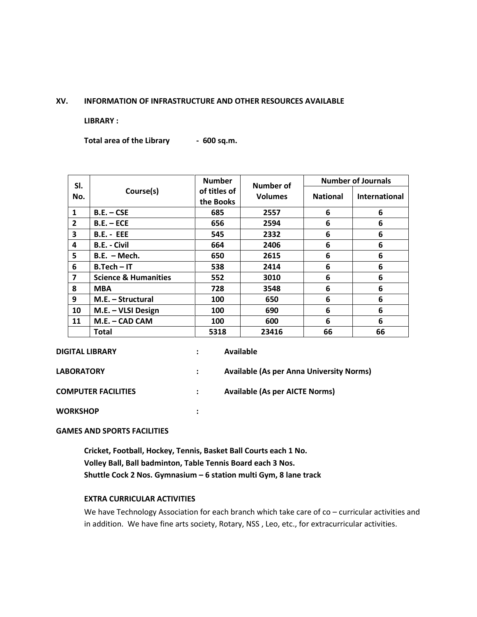#### **XV. INFORMATION OF INFRASTRUCTURE AND OTHER RESOURCES AVAILABLE**

**LIBRARY :**

**Total area of the Library - 600 sq.m.**

| SI.                     |                                 | <b>Number</b><br><b>Number of</b> | <b>Number of Journals</b> |                 |                      |
|-------------------------|---------------------------------|-----------------------------------|---------------------------|-----------------|----------------------|
| No.                     | Course(s)                       | of titles of<br>the Books         | <b>Volumes</b>            | <b>National</b> | <b>International</b> |
| $\mathbf{1}$            | $B.E. - CSE$                    | 685                               | 2557                      | 6               | 6                    |
| $\overline{2}$          | $B.E. - ECE$                    | 656                               | 2594                      | 6               | 6                    |
| 3                       | <b>B.E. - EEE</b>               | 545                               | 2332                      | 6               | 6                    |
| 4                       | <b>B.E. - Civil</b>             | 664                               | 2406                      | 6               | 6                    |
| 5                       | $B.E. - Mech.$                  | 650                               | 2615                      | 6               | 6                    |
| 6                       | $B.Tech - IT$                   | 538                               | 2414                      | 6               | 6                    |
| $\overline{\mathbf{z}}$ | <b>Science &amp; Humanities</b> | 552                               | 3010                      | 6               | 6                    |
| 8                       | <b>MBA</b>                      | 728                               | 3548                      | 6               | 6                    |
| 9                       | M.E. - Structural               | 100                               | 650                       | 6               | 6                    |
| 10                      | M.E. - VLSI Design              | 100                               | 690                       | 6               | 6                    |
| 11                      | M.E. - CAD CAM                  | 100                               | 600                       | 6               | 6                    |
|                         | Total                           | 5318                              | 23416                     | 66              | 66                   |

| <b>DIGITAL LIBRARY</b>     | $\bullet$            | Available                                       |
|----------------------------|----------------------|-------------------------------------------------|
| <b>LABORATORY</b>          |                      | <b>Available (As per Anna University Norms)</b> |
| <b>COMPUTER FACILITIES</b> | $\ddot{\phantom{a}}$ | <b>Available (As per AICTE Norms)</b>           |
| <b>WORKSHOP</b>            |                      |                                                 |

#### **GAMES AND SPORTS FACILITIES**

**Cricket, Football, Hockey, Tennis, Basket Ball Courts each 1 No. Volley Ball, Ball badminton, Table Tennis Board each 3 Nos. Shuttle Cock 2 Nos. Gymnasium – 6 station multi Gym, 8 lane track**

#### **EXTRA CURRICULAR ACTIVITIES**

We have Technology Association for each branch which take care of co - curricular activities and in addition. We have fine arts society, Rotary, NSS , Leo, etc., for extracurricular activities.